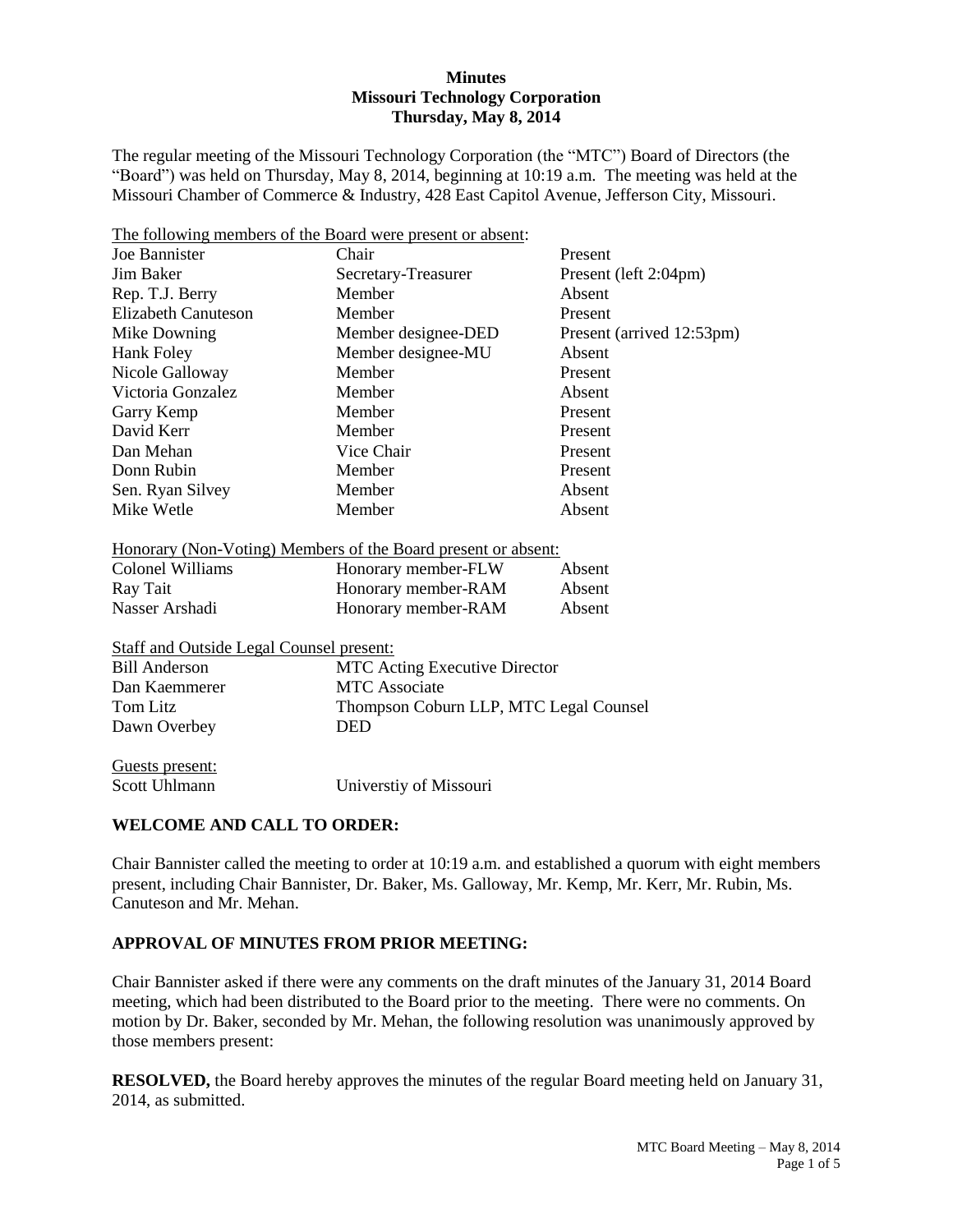#### **Minutes Missouri Technology Corporation Thursday, May 8, 2014**

The regular meeting of the Missouri Technology Corporation (the "MTC") Board of Directors (the "Board") was held on Thursday, May 8, 2014, beginning at 10:19 a.m. The meeting was held at the Missouri Chamber of Commerce & Industry, 428 East Capitol Avenue, Jefferson City, Missouri.

| The following members of the Board were present or absent:                                 |                     |                           |  |  |  |  |
|--------------------------------------------------------------------------------------------|---------------------|---------------------------|--|--|--|--|
| Joe Bannister                                                                              | Chair               | Present                   |  |  |  |  |
| Jim Baker                                                                                  | Secretary-Treasurer | Present (left 2:04pm)     |  |  |  |  |
| Rep. T.J. Berry                                                                            | Member              | Absent                    |  |  |  |  |
| <b>Elizabeth Canuteson</b>                                                                 | Member              | Present                   |  |  |  |  |
| Mike Downing                                                                               | Member designee-DED | Present (arrived 12:53pm) |  |  |  |  |
| <b>Hank Foley</b>                                                                          | Member designee-MU  | Absent                    |  |  |  |  |
| Nicole Galloway                                                                            | Member              | Present                   |  |  |  |  |
| Victoria Gonzalez                                                                          | Member              | Absent                    |  |  |  |  |
| Garry Kemp                                                                                 | Member              | Present                   |  |  |  |  |
| David Kerr                                                                                 | Member              | Present                   |  |  |  |  |
| Dan Mehan                                                                                  | Vice Chair          | Present                   |  |  |  |  |
| Donn Rubin                                                                                 | Member              | Present                   |  |  |  |  |
| Sen. Ryan Silvey                                                                           | Member              | Absent                    |  |  |  |  |
| Mike Wetle                                                                                 | Member              | Absent                    |  |  |  |  |
| <u>Honorary (Non-Voting) Members of the Board present or absent:</u>                       |                     |                           |  |  |  |  |
| Colonel Williams                                                                           | Honorary member-FLW | Absent                    |  |  |  |  |
| Ray Tait                                                                                   | Honorary member-RAM | Absent                    |  |  |  |  |
| Nasser Arshadi                                                                             | Honorary member-RAM | Absent                    |  |  |  |  |
| <b>Staff and Outside Legal Counsel present:</b>                                            |                     |                           |  |  |  |  |
| MTC Asting Executive Dimector<br>$\mathbf{D}_{\text{1}}$ $\mathbf{A}_{\text{m}}$ dependent |                     |                           |  |  |  |  |

| Bill Anderson | <b>MTC</b> Acting Executive Director   |
|---------------|----------------------------------------|
| Dan Kaemmerer | <b>MTC</b> Associate                   |
| Tom Litz      | Thompson Coburn LLP, MTC Legal Counsel |
| Dawn Overbey  | DED                                    |
|               |                                        |

Guests present: Scott Uhlmann Universtiy of Missouri

### **WELCOME AND CALL TO ORDER:**

Chair Bannister called the meeting to order at 10:19 a.m. and established a quorum with eight members present, including Chair Bannister, Dr. Baker, Ms. Galloway, Mr. Kemp, Mr. Kerr, Mr. Rubin, Ms. Canuteson and Mr. Mehan.

## **APPROVAL OF MINUTES FROM PRIOR MEETING:**

Chair Bannister asked if there were any comments on the draft minutes of the January 31, 2014 Board meeting, which had been distributed to the Board prior to the meeting. There were no comments. On motion by Dr. Baker, seconded by Mr. Mehan, the following resolution was unanimously approved by those members present:

**RESOLVED,** the Board hereby approves the minutes of the regular Board meeting held on January 31, 2014, as submitted.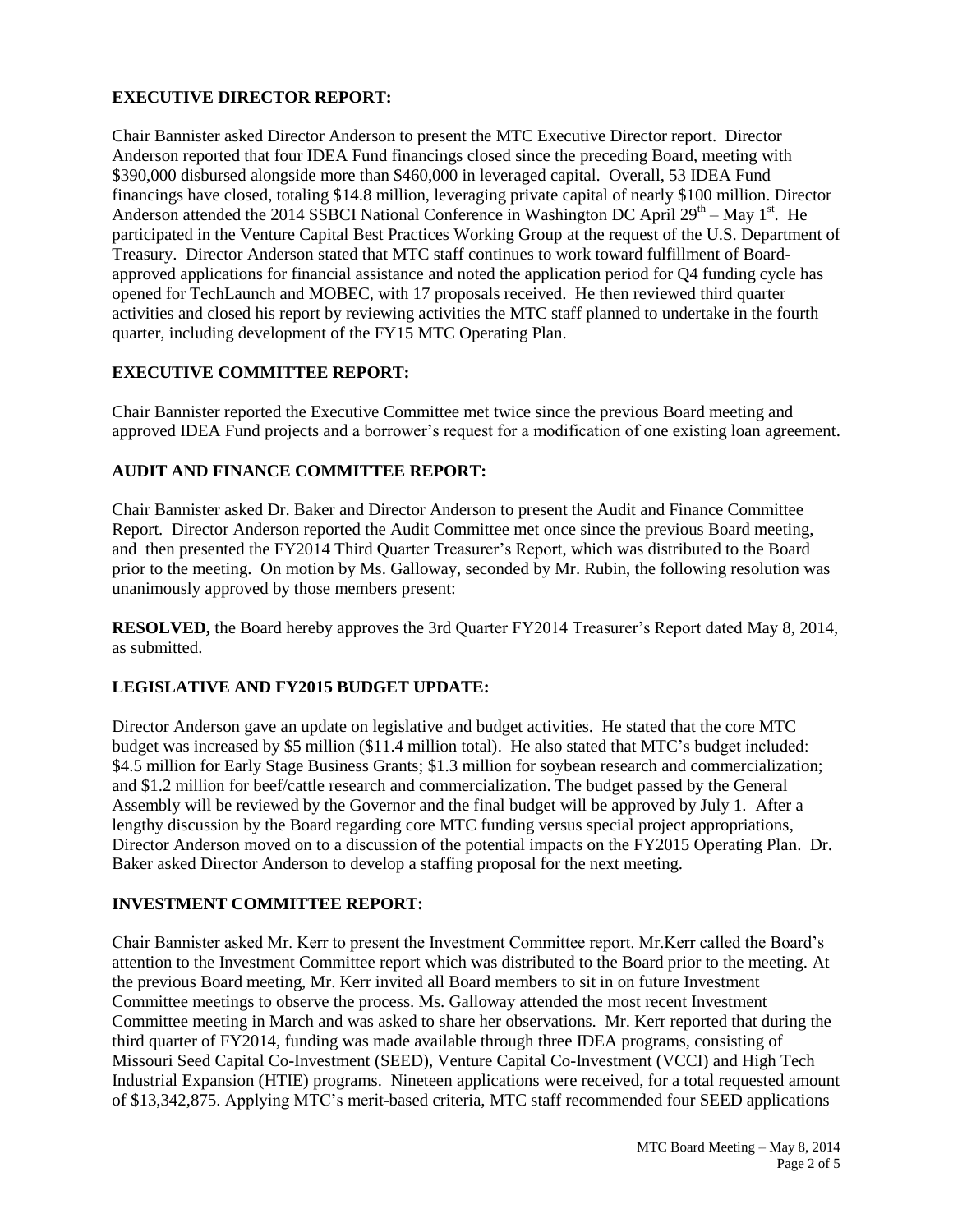### **EXECUTIVE DIRECTOR REPORT:**

Chair Bannister asked Director Anderson to present the MTC Executive Director report. Director Anderson reported that four IDEA Fund financings closed since the preceding Board, meeting with \$390,000 disbursed alongside more than \$460,000 in leveraged capital. Overall, 53 IDEA Fund financings have closed, totaling \$14.8 million, leveraging private capital of nearly \$100 million. Director Anderson attended the 2014 SSBCI National Conference in Washington DC April  $29<sup>th</sup> - May 1<sup>st</sup>$ . He participated in the Venture Capital Best Practices Working Group at the request of the U.S. Department of Treasury. Director Anderson stated that MTC staff continues to work toward fulfillment of Boardapproved applications for financial assistance and noted the application period for Q4 funding cycle has opened for TechLaunch and MOBEC, with 17 proposals received. He then reviewed third quarter activities and closed his report by reviewing activities the MTC staff planned to undertake in the fourth quarter, including development of the FY15 MTC Operating Plan.

# **EXECUTIVE COMMITTEE REPORT:**

Chair Bannister reported the Executive Committee met twice since the previous Board meeting and approved IDEA Fund projects and a borrower's request for a modification of one existing loan agreement.

### **AUDIT AND FINANCE COMMITTEE REPORT:**

Chair Bannister asked Dr. Baker and Director Anderson to present the Audit and Finance Committee Report. Director Anderson reported the Audit Committee met once since the previous Board meeting, and then presented the FY2014 Third Quarter Treasurer's Report, which was distributed to the Board prior to the meeting. On motion by Ms. Galloway, seconded by Mr. Rubin, the following resolution was unanimously approved by those members present:

**RESOLVED,** the Board hereby approves the 3rd Quarter FY2014 Treasurer's Report dated May 8, 2014, as submitted.

#### **LEGISLATIVE AND FY2015 BUDGET UPDATE:**

Director Anderson gave an update on legislative and budget activities. He stated that the core MTC budget was increased by \$5 million (\$11.4 million total). He also stated that MTC's budget included: \$4.5 million for Early Stage Business Grants; \$1.3 million for soybean research and commercialization; and \$1.2 million for beef/cattle research and commercialization. The budget passed by the General Assembly will be reviewed by the Governor and the final budget will be approved by July 1. After a lengthy discussion by the Board regarding core MTC funding versus special project appropriations, Director Anderson moved on to a discussion of the potential impacts on the FY2015 Operating Plan. Dr. Baker asked Director Anderson to develop a staffing proposal for the next meeting.

#### **INVESTMENT COMMITTEE REPORT:**

Chair Bannister asked Mr. Kerr to present the Investment Committee report. Mr.Kerr called the Board's attention to the Investment Committee report which was distributed to the Board prior to the meeting. At the previous Board meeting, Mr. Kerr invited all Board members to sit in on future Investment Committee meetings to observe the process. Ms. Galloway attended the most recent Investment Committee meeting in March and was asked to share her observations. Mr. Kerr reported that during the third quarter of FY2014, funding was made available through three IDEA programs, consisting of Missouri Seed Capital Co-Investment (SEED), Venture Capital Co-Investment (VCCI) and High Tech Industrial Expansion (HTIE) programs. Nineteen applications were received, for a total requested amount of \$13,342,875. Applying MTC's merit-based criteria, MTC staff recommended four SEED applications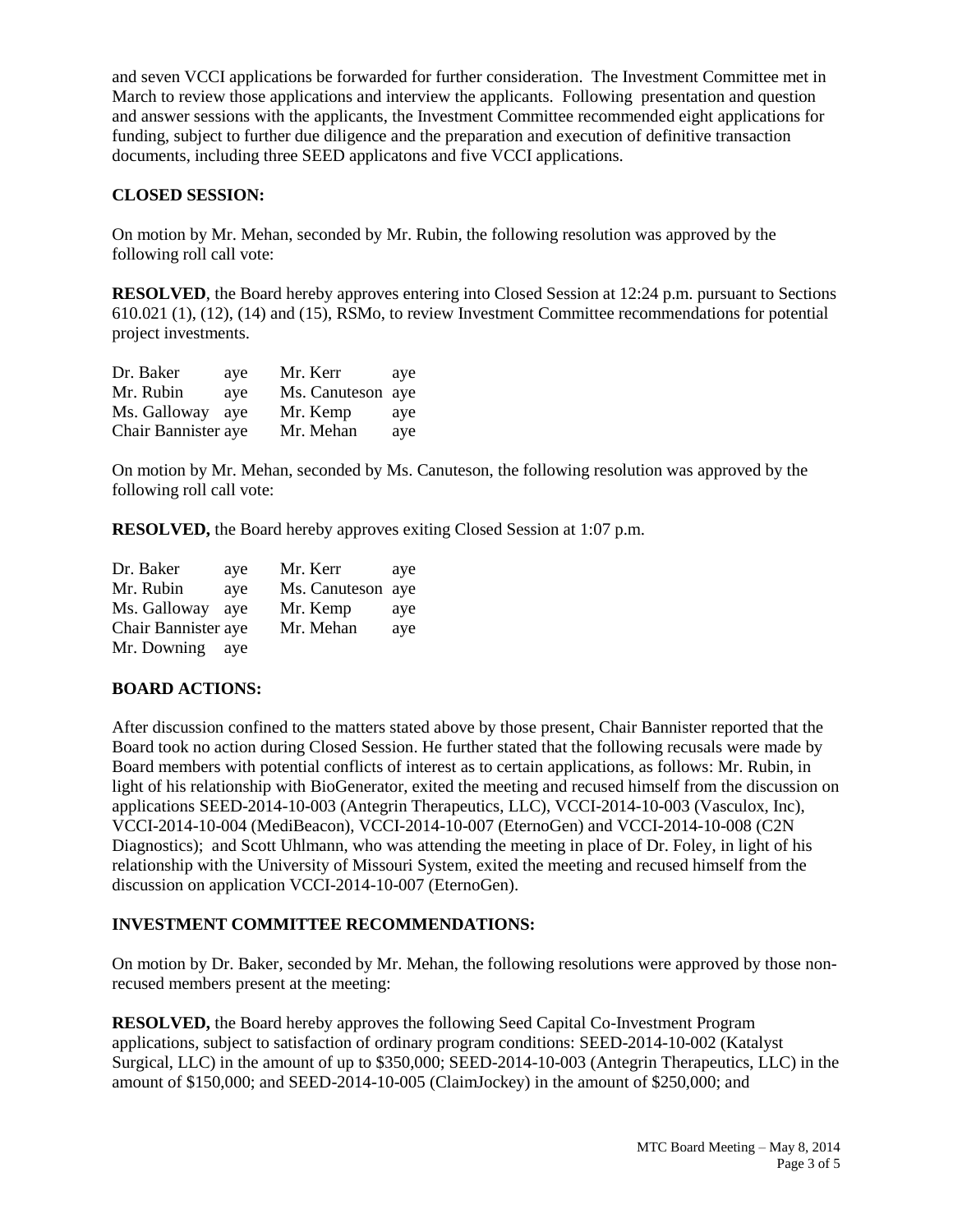and seven VCCI applications be forwarded for further consideration. The Investment Committee met in March to review those applications and interview the applicants. Following presentation and question and answer sessions with the applicants, the Investment Committee recommended eight applications for funding, subject to further due diligence and the preparation and execution of definitive transaction documents, including three SEED applicatons and five VCCI applications.

### **CLOSED SESSION:**

On motion by Mr. Mehan, seconded by Mr. Rubin, the following resolution was approved by the following roll call vote:

**RESOLVED**, the Board hereby approves entering into Closed Session at 12:24 p.m. pursuant to Sections 610.021 (1), (12), (14) and (15), RSMo, to review Investment Committee recommendations for potential project investments.

| Dr. Baker           | ave | Mr. Kerr          | aye |
|---------------------|-----|-------------------|-----|
| Mr. Rubin           | ave | Ms. Canuteson aye |     |
| Ms. Galloway        | ave | Mr. Kemp          | aye |
| Chair Bannister aye |     | Mr. Mehan         | aye |

On motion by Mr. Mehan, seconded by Ms. Canuteson, the following resolution was approved by the following roll call vote:

**RESOLVED,** the Board hereby approves exiting Closed Session at 1:07 p.m.

| Dr. Baker           | aye | Mr. Kerr          | aye |
|---------------------|-----|-------------------|-----|
| Mr. Rubin           | ave | Ms. Canuteson aye |     |
| Ms. Galloway        | ave | Mr. Kemp          | aye |
| Chair Bannister aye |     | Mr. Mehan         | aye |
| Mr. Downing         | ave |                   |     |

#### **BOARD ACTIONS:**

After discussion confined to the matters stated above by those present, Chair Bannister reported that the Board took no action during Closed Session. He further stated that the following recusals were made by Board members with potential conflicts of interest as to certain applications, as follows: Mr. Rubin, in light of his relationship with BioGenerator, exited the meeting and recused himself from the discussion on applications SEED-2014-10-003 (Antegrin Therapeutics, LLC), VCCI-2014-10-003 (Vasculox, Inc), VCCI-2014-10-004 (MediBeacon), VCCI-2014-10-007 (EternoGen) and VCCI-2014-10-008 (C2N Diagnostics); and Scott Uhlmann, who was attending the meeting in place of Dr. Foley, in light of his relationship with the University of Missouri System, exited the meeting and recused himself from the discussion on application VCCI-2014-10-007 (EternoGen).

#### **INVESTMENT COMMITTEE RECOMMENDATIONS:**

On motion by Dr. Baker, seconded by Mr. Mehan, the following resolutions were approved by those nonrecused members present at the meeting:

**RESOLVED,** the Board hereby approves the following Seed Capital Co-Investment Program applications, subject to satisfaction of ordinary program conditions: SEED-2014-10-002 (Katalyst Surgical, LLC) in the amount of up to \$350,000; SEED-2014-10-003 (Antegrin Therapeutics, LLC) in the amount of \$150,000; and SEED-2014-10-005 (ClaimJockey) in the amount of \$250,000; and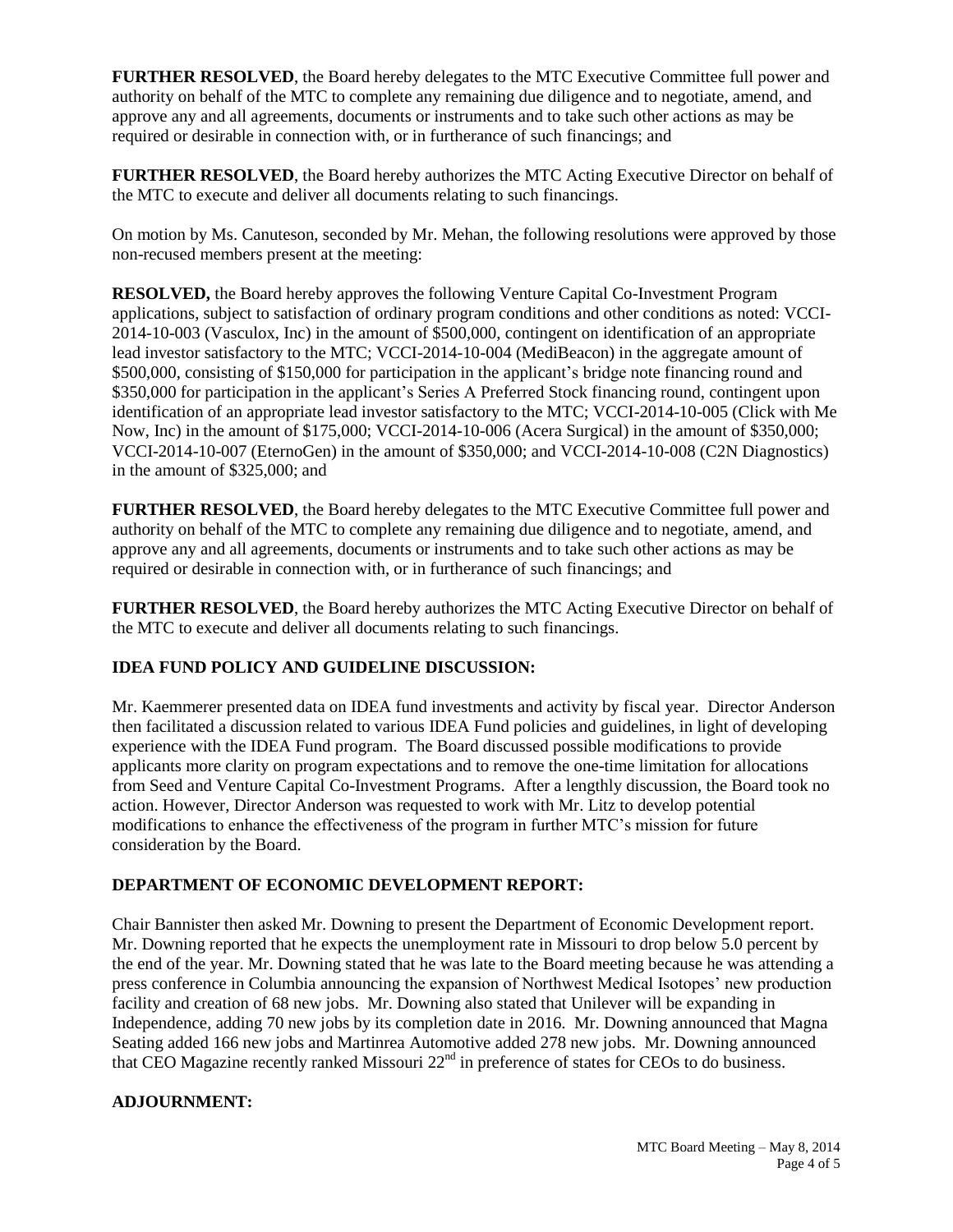**FURTHER RESOLVED**, the Board hereby delegates to the MTC Executive Committee full power and authority on behalf of the MTC to complete any remaining due diligence and to negotiate, amend, and approve any and all agreements, documents or instruments and to take such other actions as may be required or desirable in connection with, or in furtherance of such financings; and

**FURTHER RESOLVED**, the Board hereby authorizes the MTC Acting Executive Director on behalf of the MTC to execute and deliver all documents relating to such financings.

On motion by Ms. Canuteson, seconded by Mr. Mehan, the following resolutions were approved by those non-recused members present at the meeting:

**RESOLVED,** the Board hereby approves the following Venture Capital Co-Investment Program applications, subject to satisfaction of ordinary program conditions and other conditions as noted: VCCI-2014-10-003 (Vasculox, Inc) in the amount of \$500,000, contingent on identification of an appropriate lead investor satisfactory to the MTC; VCCI-2014-10-004 (MediBeacon) in the aggregate amount of \$500,000, consisting of \$150,000 for participation in the applicant's bridge note financing round and \$350,000 for participation in the applicant's Series A Preferred Stock financing round, contingent upon identification of an appropriate lead investor satisfactory to the MTC; VCCI-2014-10-005 (Click with Me Now, Inc) in the amount of \$175,000; VCCI-2014-10-006 (Acera Surgical) in the amount of \$350,000; VCCI-2014-10-007 (EternoGen) in the amount of \$350,000; and VCCI-2014-10-008 (C2N Diagnostics) in the amount of \$325,000; and

**FURTHER RESOLVED**, the Board hereby delegates to the MTC Executive Committee full power and authority on behalf of the MTC to complete any remaining due diligence and to negotiate, amend, and approve any and all agreements, documents or instruments and to take such other actions as may be required or desirable in connection with, or in furtherance of such financings; and

**FURTHER RESOLVED**, the Board hereby authorizes the MTC Acting Executive Director on behalf of the MTC to execute and deliver all documents relating to such financings.

### **IDEA FUND POLICY AND GUIDELINE DISCUSSION:**

Mr. Kaemmerer presented data on IDEA fund investments and activity by fiscal year. Director Anderson then facilitated a discussion related to various IDEA Fund policies and guidelines, in light of developing experience with the IDEA Fund program. The Board discussed possible modifications to provide applicants more clarity on program expectations and to remove the one-time limitation for allocations from Seed and Venture Capital Co-Investment Programs. After a lengthly discussion, the Board took no action. However, Director Anderson was requested to work with Mr. Litz to develop potential modifications to enhance the effectiveness of the program in further MTC's mission for future consideration by the Board.

### **DEPARTMENT OF ECONOMIC DEVELOPMENT REPORT:**

Chair Bannister then asked Mr. Downing to present the Department of Economic Development report. Mr. Downing reported that he expects the unemployment rate in Missouri to drop below 5.0 percent by the end of the year. Mr. Downing stated that he was late to the Board meeting because he was attending a press conference in Columbia announcing the expansion of Northwest Medical Isotopes' new production facility and creation of 68 new jobs. Mr. Downing also stated that Unilever will be expanding in Independence, adding 70 new jobs by its completion date in 2016. Mr. Downing announced that Magna Seating added 166 new jobs and Martinrea Automotive added 278 new jobs. Mr. Downing announced that CEO Magazine recently ranked Missouri  $22<sup>nd</sup>$  in preference of states for CEOs to do business.

#### **ADJOURNMENT:**